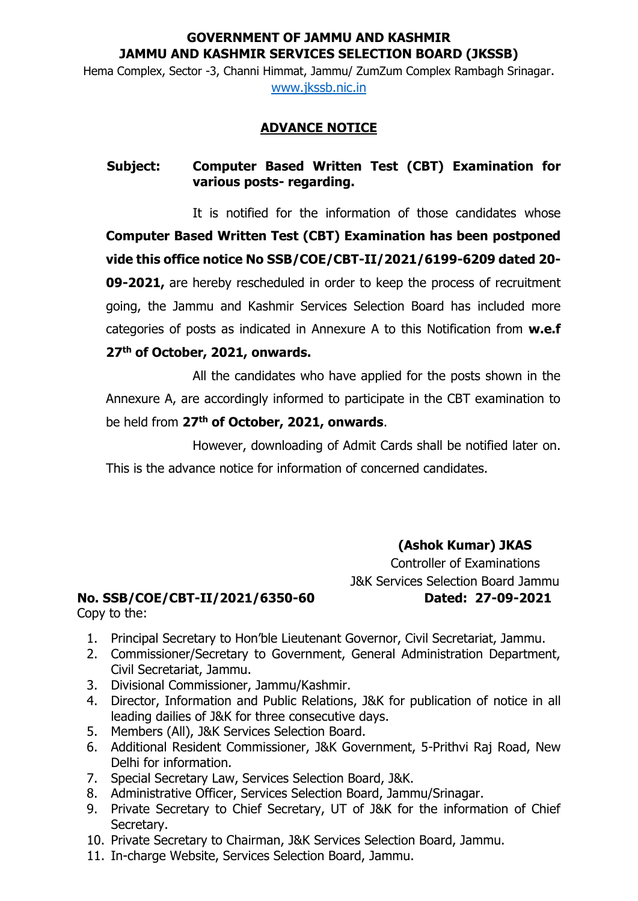### **GOVERNMENT OF JAMMU AND KASHMIR JAMMU AND KASHMIR SERVICES SELECTION BOARD (JKSSB)**

Hema Complex, Sector -3, Channi Himmat, Jammu/ ZumZum Complex Rambagh Srinagar. [www.jkssb.nic.in](http://www.jkssb.nic.in/)

## **ADVANCE NOTICE**

## **Subject: Computer Based Written Test (CBT) Examination for various posts- regarding.**

It is notified for the information of those candidates whose **Computer Based Written Test (CBT) Examination has been postponed vide this office notice No SSB/COE/CBT-II/2021/6199-6209 dated 20- 09-2021,** are hereby rescheduled in order to keep the process of recruitment going, the Jammu and Kashmir Services Selection Board has included more categories of posts as indicated in Annexure A to this Notification from **w.e.f 27th of October, 2021, onwards.**

All the candidates who have applied for the posts shown in the Annexure A, are accordingly informed to participate in the CBT examination to be held from **27th of October, 2021, onwards**.

However, downloading of Admit Cards shall be notified later on. This is the advance notice for information of concerned candidates.

> **(Ashok Kumar) JKAS** Controller of Examinations J&K Services Selection Board Jammu

#### **No. SSB/COE/CBT-II/2021/6350-60 Dated: 27-09-2021** Copy to the:

- 
- 1. Principal Secretary to Hon'ble Lieutenant Governor, Civil Secretariat, Jammu.
- 2. Commissioner/Secretary to Government, General Administration Department, Civil Secretariat, Jammu.
- 3. Divisional Commissioner, Jammu/Kashmir.
- 4. Director, Information and Public Relations, J&K for publication of notice in all leading dailies of J&K for three consecutive days.
- 5. Members (All), J&K Services Selection Board.
- 6. Additional Resident Commissioner, J&K Government, 5-Prithvi Raj Road, New Delhi for information.
- 7. Special Secretary Law, Services Selection Board, J&K.
- 8. Administrative Officer, Services Selection Board, Jammu/Srinagar.
- 9. Private Secretary to Chief Secretary, UT of J&K for the information of Chief Secretary.
- 10. Private Secretary to Chairman, J&K Services Selection Board, Jammu.
- 11. In-charge Website, Services Selection Board, Jammu.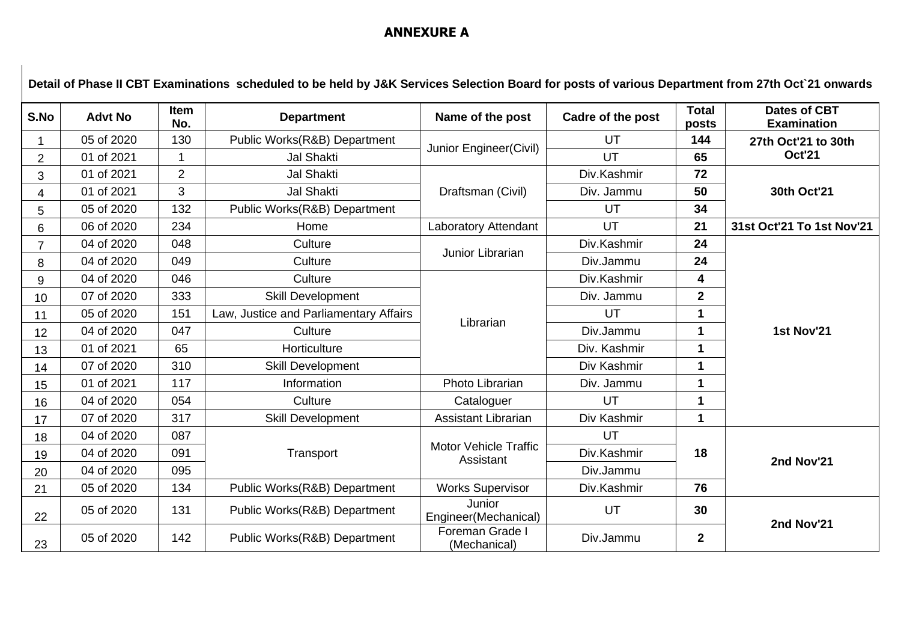# **ANNEXURE A**

| Detail of Phase II CBT Examinations scheduled to be held by J&K Services Selection Board for posts of various Department from 27th Oct 21 onwards |                |                    |                                        |                                           |                   |                       |                                           |
|---------------------------------------------------------------------------------------------------------------------------------------------------|----------------|--------------------|----------------------------------------|-------------------------------------------|-------------------|-----------------------|-------------------------------------------|
| S.No                                                                                                                                              | <b>Advt No</b> | <b>Item</b><br>No. | <b>Department</b>                      | Name of the post                          | Cadre of the post | <b>Total</b><br>posts | <b>Dates of CBT</b><br><b>Examination</b> |
|                                                                                                                                                   | 05 of 2020     | 130                | Public Works(R&B) Department           | Junior Engineer(Civil)                    | UT                | 144                   | 27th Oct'21 to 30th<br><b>Oct'21</b>      |
| 2                                                                                                                                                 | 01 of 2021     |                    | <b>Jal Shakti</b>                      |                                           | UT                | 65                    |                                           |
| 3                                                                                                                                                 | 01 of 2021     | $\overline{2}$     | <b>Jal Shakti</b>                      | Draftsman (Civil)                         | Div.Kashmir       | 72                    | 30th Oct'21                               |
| 4                                                                                                                                                 | 01 of 2021     | 3                  | <b>Jal Shakti</b>                      |                                           | Div. Jammu        | 50                    |                                           |
| 5                                                                                                                                                 | 05 of 2020     | 132                | Public Works(R&B) Department           |                                           | UT                | 34                    |                                           |
| 6                                                                                                                                                 | 06 of 2020     | 234                | Home                                   | Laboratory Attendant                      | UT                | 21                    | 31st Oct'21 To 1st Nov'21                 |
|                                                                                                                                                   | 04 of 2020     | 048                | Culture                                | Junior Librarian                          | Div.Kashmir       | 24                    |                                           |
| 8                                                                                                                                                 | 04 of 2020     | 049                | Culture                                |                                           | Div.Jammu         | 24                    |                                           |
| 9                                                                                                                                                 | 04 of 2020     | 046                | Culture                                | Librarian                                 | Div.Kashmir       | 4                     |                                           |
| 10                                                                                                                                                | 07 of 2020     | 333                | Skill Development                      |                                           | Div. Jammu        | $\mathbf{2}$          |                                           |
| 11                                                                                                                                                | 05 of 2020     | 151                | Law, Justice and Parliamentary Affairs |                                           | UT                | $\mathbf 1$           |                                           |
| 12                                                                                                                                                | 04 of 2020     | 047                | Culture                                |                                           | Div.Jammu         | $\mathbf 1$           | 1st Nov'21                                |
| 13                                                                                                                                                | 01 of 2021     | 65                 | Horticulture                           |                                           | Div. Kashmir      | 1                     |                                           |
| 14                                                                                                                                                | 07 of 2020     | 310                | <b>Skill Development</b>               |                                           | Div Kashmir       | $\blacktriangleleft$  |                                           |
| 15                                                                                                                                                | 01 of 2021     | 117                | Information                            | Photo Librarian                           | Div. Jammu        | $\mathbf{1}$          |                                           |
| 16                                                                                                                                                | 04 of 2020     | 054                | Culture                                | Cataloguer                                | UT                | $\mathbf{1}$          |                                           |
| 17                                                                                                                                                | 07 of 2020     | 317                | <b>Skill Development</b>               | <b>Assistant Librarian</b>                | Div Kashmir       | 1                     |                                           |
| 18                                                                                                                                                | 04 of 2020     | 087                | Transport                              | <b>Motor Vehicle Traffic</b><br>Assistant | UT                | 18                    | 2nd Nov'21                                |
| 19                                                                                                                                                | 04 of 2020     | 091                |                                        |                                           | Div.Kashmir       |                       |                                           |
| 20                                                                                                                                                | 04 of 2020     | 095                |                                        |                                           | Div.Jammu         |                       |                                           |
| 21                                                                                                                                                | 05 of 2020     | 134                | Public Works(R&B) Department           | <b>Works Supervisor</b>                   | Div.Kashmir       | 76                    |                                           |
| 22                                                                                                                                                | 05 of 2020     | 131                | Public Works(R&B) Department           | Junior<br>Engineer(Mechanical)            | UT                | 30<br>$\overline{2}$  | 2nd Nov'21                                |
| 23                                                                                                                                                | 05 of 2020     | 142                | Public Works(R&B) Department           | Foreman Grade I<br>(Mechanical)           | Div.Jammu         |                       |                                           |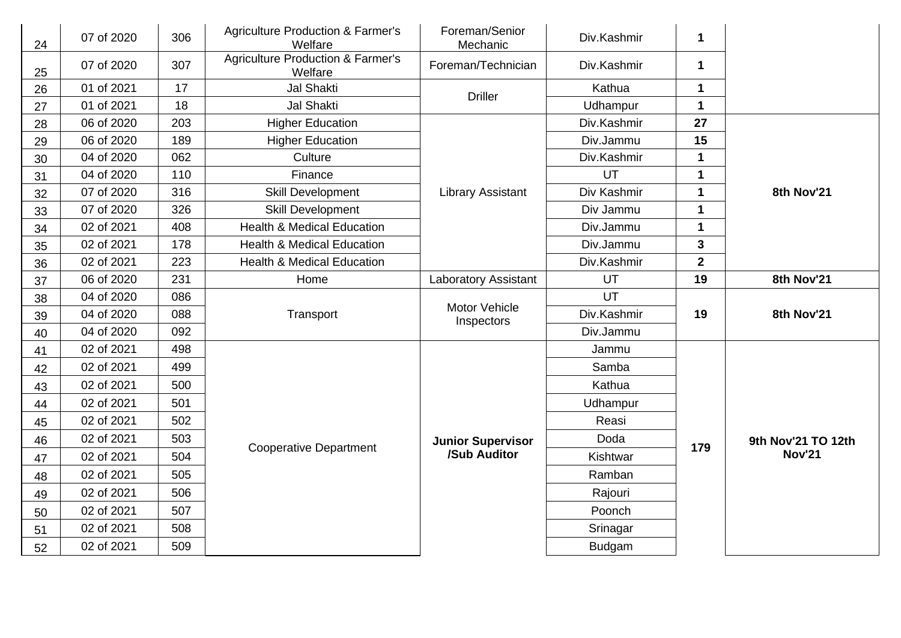| 24 | 07 of 2020 | 306 | <b>Agriculture Production &amp; Farmer's</b><br>Welfare | Foreman/Senior<br>Mechanic  | Div.Kashmir   | 1                       |                                     |
|----|------------|-----|---------------------------------------------------------|-----------------------------|---------------|-------------------------|-------------------------------------|
| 25 | 07 of 2020 | 307 | <b>Agriculture Production &amp; Farmer's</b><br>Welfare | Foreman/Technician          | Div.Kashmir   | $\mathbf 1$             |                                     |
| 26 | 01 of 2021 | 17  | <b>Jal Shakti</b>                                       | <b>Driller</b>              | Kathua        | 1                       |                                     |
| 27 | 01 of 2021 | 18  | <b>Jal Shakti</b>                                       |                             | Udhampur      | $\mathbf 1$             |                                     |
| 28 | 06 of 2020 | 203 | <b>Higher Education</b>                                 |                             | Div.Kashmir   | 27                      |                                     |
| 29 | 06 of 2020 | 189 | <b>Higher Education</b>                                 |                             | Div.Jammu     | 15                      |                                     |
| 30 | 04 of 2020 | 062 | Culture                                                 |                             | Div.Kashmir   | $\mathbf{1}$            |                                     |
| 31 | 04 of 2020 | 110 | Finance                                                 |                             | UT            | 1                       |                                     |
| 32 | 07 of 2020 | 316 | <b>Skill Development</b>                                | <b>Library Assistant</b>    | Div Kashmir   | $\mathbf 1$             | 8th Nov'21                          |
| 33 | 07 of 2020 | 326 | <b>Skill Development</b>                                |                             | Div Jammu     | $\mathbf 1$             |                                     |
| 34 | 02 of 2021 | 408 | <b>Health &amp; Medical Education</b>                   |                             | Div.Jammu     | 1                       |                                     |
| 35 | 02 of 2021 | 178 | <b>Health &amp; Medical Education</b>                   |                             | Div.Jammu     | $\overline{\mathbf{3}}$ |                                     |
| 36 | 02 of 2021 | 223 | <b>Health &amp; Medical Education</b>                   |                             | Div.Kashmir   | $\overline{2}$          |                                     |
| 37 | 06 of 2020 | 231 | Home                                                    | Laboratory Assistant        | UT            | 19                      | 8th Nov'21                          |
| 38 | 04 of 2020 | 086 |                                                         | Motor Vehicle<br>Inspectors | UT            | 19                      |                                     |
| 39 | 04 of 2020 | 088 | Transport                                               |                             | Div.Kashmir   |                         | 8th Nov'21                          |
| 40 | 04 of 2020 | 092 |                                                         |                             | Div.Jammu     |                         |                                     |
| 41 | 02 of 2021 | 498 |                                                         |                             | Jammu         |                         | 9th Nov'21 TO 12th<br><b>Nov'21</b> |
| 42 | 02 of 2021 | 499 | <b>Cooperative Department</b>                           |                             | Samba         |                         |                                     |
| 43 | 02 of 2021 | 500 |                                                         |                             | Kathua        |                         |                                     |
| 44 | 02 of 2021 | 501 |                                                         |                             | Udhampur      |                         |                                     |
| 45 | 02 of 2021 | 502 |                                                         |                             | Reasi         |                         |                                     |
| 46 | 02 of 2021 | 503 |                                                         | <b>Junior Supervisor</b>    | Doda          |                         |                                     |
| 47 | 02 of 2021 | 504 |                                                         | /Sub Auditor                | Kishtwar      | 179                     |                                     |
| 48 | 02 of 2021 | 505 |                                                         |                             | Ramban        |                         |                                     |
| 49 | 02 of 2021 | 506 |                                                         |                             | Rajouri       |                         |                                     |
| 50 | 02 of 2021 | 507 |                                                         |                             | Poonch        |                         |                                     |
| 51 | 02 of 2021 | 508 |                                                         |                             | Srinagar      |                         |                                     |
| 52 | 02 of 2021 | 509 |                                                         |                             | <b>Budgam</b> |                         |                                     |